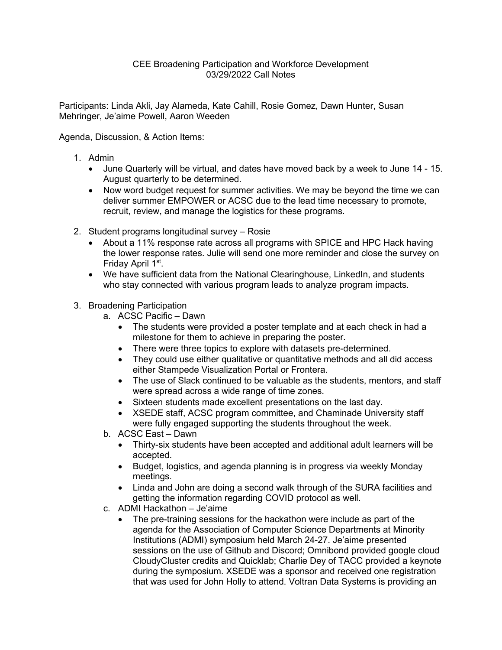## CEE Broadening Participation and Workforce Development 03/29/2022 Call Notes

Participants: Linda Akli, Jay Alameda, Kate Cahill, Rosie Gomez, Dawn Hunter, Susan Mehringer, Je'aime Powell, Aaron Weeden

Agenda, Discussion, & Action Items:

- 1. Admin
	- June Quarterly will be virtual, and dates have moved back by a week to June 14 15. August quarterly to be determined.
	- Now word budget request for summer activities. We may be beyond the time we can deliver summer EMPOWER or ACSC due to the lead time necessary to promote, recruit, review, and manage the logistics for these programs.
- 2. Student programs longitudinal survey Rosie
	- About a 11% response rate across all programs with SPICE and HPC Hack having the lower response rates. Julie will send one more reminder and close the survey on Friday April 1st.
	- We have sufficient data from the National Clearinghouse, LinkedIn, and students who stay connected with various program leads to analyze program impacts.

## 3. Broadening Participation

- a. ACSC Pacific Dawn
	- The students were provided a poster template and at each check in had a milestone for them to achieve in preparing the poster.
	- There were three topics to explore with datasets pre-determined.
	- They could use either qualitative or quantitative methods and all did access either Stampede Visualization Portal or Frontera.
	- The use of Slack continued to be valuable as the students, mentors, and staff were spread across a wide range of time zones.
	- Sixteen students made excellent presentations on the last day.
	- XSEDE staff, ACSC program committee, and Chaminade University staff were fully engaged supporting the students throughout the week.
- b. ACSC East Dawn
	- Thirty-six students have been accepted and additional adult learners will be accepted.
	- Budget, logistics, and agenda planning is in progress via weekly Monday meetings.
	- Linda and John are doing a second walk through of the SURA facilities and getting the information regarding COVID protocol as well.
- c. ADMI Hackathon Je'aime
	- The pre-training sessions for the hackathon were include as part of the agenda for the Association of Computer Science Departments at Minority Institutions (ADMI) symposium held March 24-27. Je'aime presented sessions on the use of Github and Discord; Omnibond provided google cloud CloudyCluster credits and Quicklab; Charlie Dey of TACC provided a keynote during the symposium. XSEDE was a sponsor and received one registration that was used for John Holly to attend. Voltran Data Systems is providing an